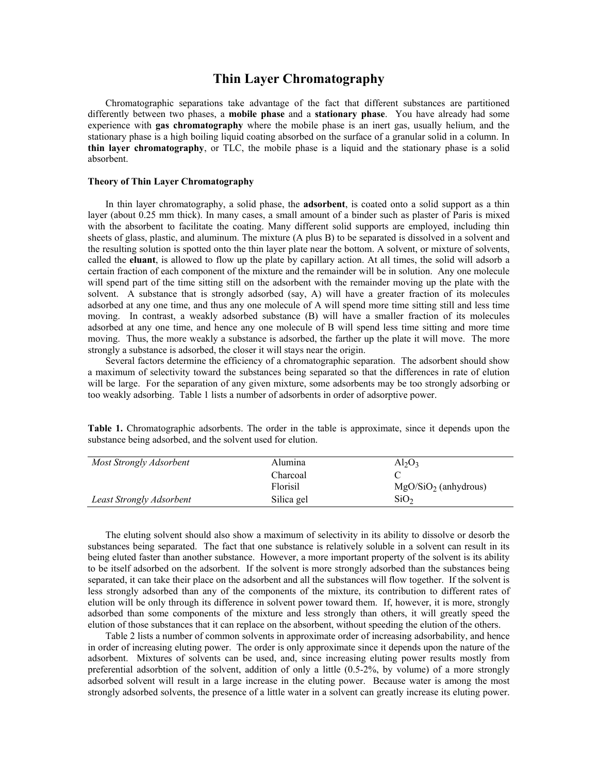# **Thin Layer Chromatography**

Chromatographic separations take advantage of the fact that different substances are partitioned differently between two phases, a **mobile phase** and a **stationary phase**. You have already had some experience with **gas chromatography** where the mobile phase is an inert gas, usually helium, and the stationary phase is a high boiling liquid coating absorbed on the surface of a granular solid in a column. In **thin layer chromatography**, or TLC, the mobile phase is a liquid and the stationary phase is a solid absorbent.

### **Theory of Thin Layer Chromatography**

In thin layer chromatography, a solid phase, the **adsorbent**, is coated onto a solid support as a thin layer (about 0.25 mm thick). In many cases, a small amount of a binder such as plaster of Paris is mixed with the absorbent to facilitate the coating. Many different solid supports are employed, including thin sheets of glass, plastic, and aluminum. The mixture (A plus B) to be separated is dissolved in a solvent and the resulting solution is spotted onto the thin layer plate near the bottom. A solvent, or mixture of solvents, called the **eluant**, is allowed to flow up the plate by capillary action. At all times, the solid will adsorb a certain fraction of each component of the mixture and the remainder will be in solution. Any one molecule will spend part of the time sitting still on the adsorbent with the remainder moving up the plate with the solvent. A substance that is strongly adsorbed (say, A) will have a greater fraction of its molecules adsorbed at any one time, and thus any one molecule of A will spend more time sitting still and less time moving. In contrast, a weakly adsorbed substance (B) will have a smaller fraction of its molecules adsorbed at any one time, and hence any one molecule of B will spend less time sitting and more time moving. Thus, the more weakly a substance is adsorbed, the farther up the plate it will move. The more strongly a substance is adsorbed, the closer it will stays near the origin.

Several factors determine the efficiency of a chromatographic separation. The adsorbent should show a maximum of selectivity toward the substances being separated so that the differences in rate of elution will be large. For the separation of any given mixture, some adsorbents may be too strongly adsorbing or too weakly adsorbing. Table 1 lists a number of adsorbents in order of adsorptive power.

| Most Strongly Adsorbent  | Alumina    | $Al_2O_3$              |
|--------------------------|------------|------------------------|
|                          | Charcoal   |                        |
|                          | Florisil   | $MgO/SiO2$ (anhydrous) |
| Least Strongly Adsorbent | Silica gel | SiO <sub>2</sub>       |

**Table 1.** Chromatographic adsorbents. The order in the table is approximate, since it depends upon the substance being adsorbed, and the solvent used for elution.

The eluting solvent should also show a maximum of selectivity in its ability to dissolve or desorb the substances being separated. The fact that one substance is relatively soluble in a solvent can result in its being eluted faster than another substance. However, a more important property of the solvent is its ability to be itself adsorbed on the adsorbent. If the solvent is more strongly adsorbed than the substances being separated, it can take their place on the adsorbent and all the substances will flow together. If the solvent is less strongly adsorbed than any of the components of the mixture, its contribution to different rates of elution will be only through its difference in solvent power toward them. If, however, it is more, strongly adsorbed than some components of the mixture and less strongly than others, it will greatly speed the elution of those substances that it can replace on the absorbent, without speeding the elution of the others.

Table 2 lists a number of common solvents in approximate order of increasing adsorbability, and hence in order of increasing eluting power. The order is only approximate since it depends upon the nature of the adsorbent. Mixtures of solvents can be used, and, since increasing eluting power results mostly from preferential adsorbtion of the solvent, addition of only a little (0.5-2%, by volume) of a more strongly adsorbed solvent will result in a large increase in the eluting power. Because water is among the most strongly adsorbed solvents, the presence of a little water in a solvent can greatly increase its eluting power.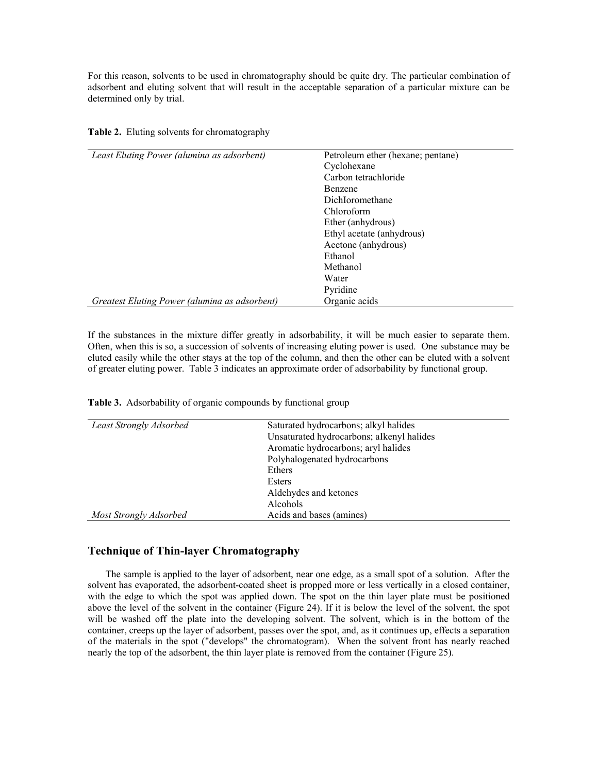For this reason, solvents to be used in chromatography should be quite dry. The particular combination of adsorbent and eluting solvent that will result in the acceptable separation of a particular mixture can be determined only by trial.

| Least Eluting Power (alumina as adsorbent)    | Petroleum ether (hexane; pentane) |  |
|-----------------------------------------------|-----------------------------------|--|
|                                               | Cyclohexane                       |  |
|                                               | Carbon tetrachloride              |  |
|                                               | Benzene                           |  |
|                                               | DichIoromethane                   |  |
|                                               | Chloroform                        |  |
|                                               | Ether (anhydrous)                 |  |
|                                               | Ethyl acetate (anhydrous)         |  |
|                                               | Acetone (anhydrous)               |  |
|                                               | Ethanol                           |  |
|                                               | Methanol                          |  |
|                                               | Water                             |  |
|                                               | Pyridine                          |  |
| Greatest Eluting Power (alumina as adsorbent) | Organic acids                     |  |

**Table 2.** Eluting solvents for chromatography

If the substances in the mixture differ greatly in adsorbability, it will be much easier to separate them. Often, when this is so, a succession of solvents of increasing eluting power is used. One substance may be eluted easily while the other stays at the top of the column, and then the other can be eluted with a solvent of greater eluting power. Table 3 indicates an approximate order of adsorbability by functional group.

| Table 3. Adsorbability of organic compounds by functional group |  |  |
|-----------------------------------------------------------------|--|--|
|                                                                 |  |  |

| Least Strongly Adsorbed | Saturated hydrocarbons; alkyl halides     |
|-------------------------|-------------------------------------------|
|                         | Unsaturated hydrocarbons; aIkenyl halides |
|                         | Aromatic hydrocarbons; aryl halides       |
|                         | Polyhalogenated hydrocarbons              |
|                         | Ethers                                    |
|                         | Esters                                    |
|                         | Aldehydes and ketones                     |
|                         | Alcohols                                  |
| Most Strongly Adsorbed  | Acids and bases (amines)                  |
|                         |                                           |

# **Technique of Thin-layer Chromatography**

The sample is applied to the layer of adsorbent, near one edge, as a small spot of a solution. After the solvent has evaporated, the adsorbent-coated sheet is propped more or less vertically in a closed container, with the edge to which the spot was applied down. The spot on the thin layer plate must be positioned above the level of the solvent in the container (Figure 24). If it is below the level of the solvent, the spot will be washed off the plate into the developing solvent. The solvent, which is in the bottom of the container, creeps up the layer of adsorbent, passes over the spot, and, as it continues up, effects a separation of the materials in the spot ("develops" the chromatogram). When the solvent front has nearly reached nearly the top of the adsorbent, the thin layer plate is removed from the container (Figure 25).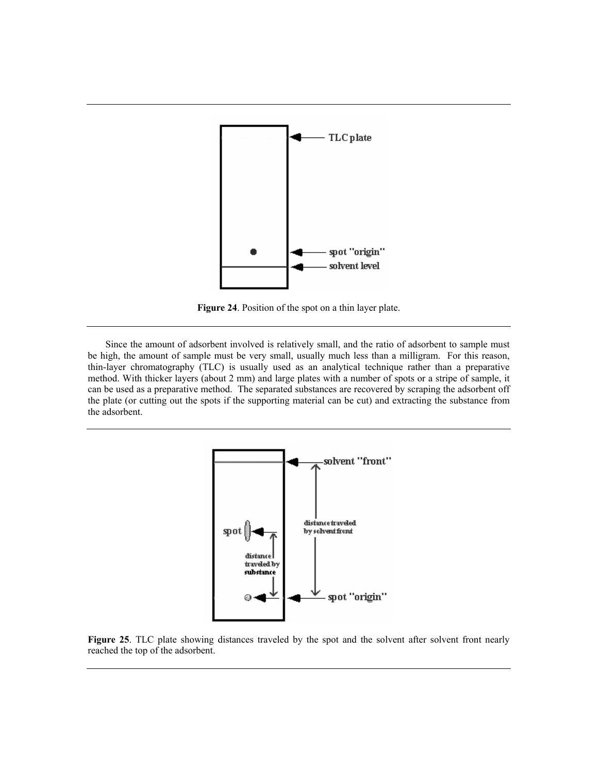

**Figure 24**. Position of the spot on a thin layer plate.

Since the amount of adsorbent involved is relatively small, and the ratio of adsorbent to sample must be high, the amount of sample must be very small, usually much less than a milligram. For this reason, thin-layer chromatography (TLC) is usually used as an analytical technique rather than a preparative method. With thicker layers (about 2 mm) and large plates with a number of spots or a stripe of sample, it can be used as a preparative method. The separated substances are recovered by scraping the adsorbent off the plate (or cutting out the spots if the supporting material can be cut) and extracting the substance from the adsorbent.



**Figure 25**. TLC plate showing distances traveled by the spot and the solvent after solvent front nearly reached the top of the adsorbent.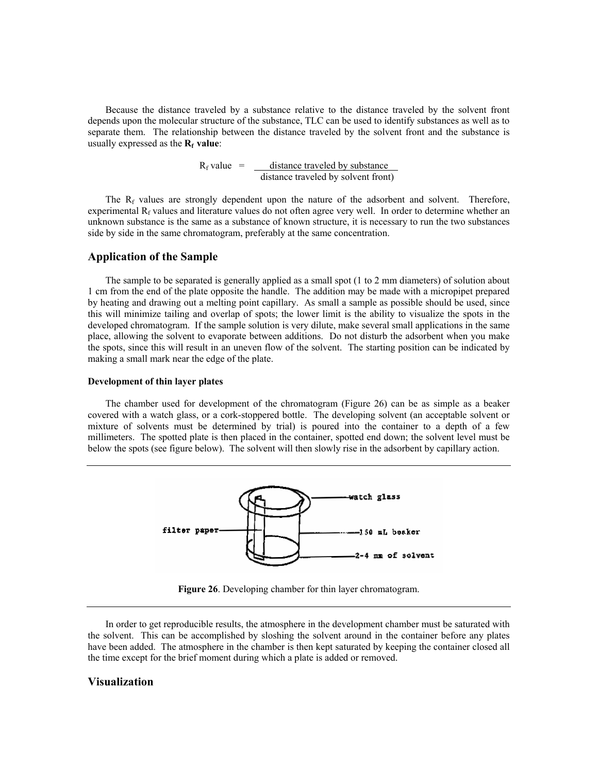Because the distance traveled by a substance relative to the distance traveled by the solvent front depends upon the molecular structure of the substance, TLC can be used to identify substances as well as to separate them. The relationship between the distance traveled by the solvent front and the substance is usually expressed as the **R<sub>f</sub>** value:

> $R_f$  value =  $\qquad$  distance traveled by substance distance traveled by solvent front)

The  $R_f$  values are strongly dependent upon the nature of the adsorbent and solvent. Therefore, experimental  $R_f$  values and literature values do not often agree very well. In order to determine whether an unknown substance is the same as a substance of known structure, it is necessary to run the two substances side by side in the same chromatogram, preferably at the same concentration.

### **Application of the Sample**

The sample to be separated is generally applied as a small spot (1 to 2 mm diameters) of solution about 1 cm from the end of the plate opposite the handle. The addition may be made with a micropipet prepared by heating and drawing out a melting point capillary. As small a sample as possible should be used, since this will minimize tailing and overlap of spots; the lower limit is the ability to visualize the spots in the developed chromatogram. If the sample solution is very dilute, make several small applications in the same place, allowing the solvent to evaporate between additions. Do not disturb the adsorbent when you make the spots, since this will result in an uneven flow of the solvent. The starting position can be indicated by making a small mark near the edge of the plate.

#### **Development of thin layer plates**

The chamber used for development of the chromatogram (Figure 26) can be as simple as a beaker covered with a watch glass, or a cork-stoppered bottle. The developing solvent (an acceptable solvent or mixture of solvents must be determined by trial) is poured into the container to a depth of a few millimeters. The spotted plate is then placed in the container, spotted end down; the solvent level must be below the spots (see figure below). The solvent will then slowly rise in the adsorbent by capillary action.



**Figure 26**. Developing chamber for thin layer chromatogram.

In order to get reproducible results, the atmosphere in the development chamber must be saturated with the solvent. This can be accomplished by sloshing the solvent around in the container before any plates have been added. The atmosphere in the chamber is then kept saturated by keeping the container closed all the time except for the brief moment during which a plate is added or removed.

## **Visualization**